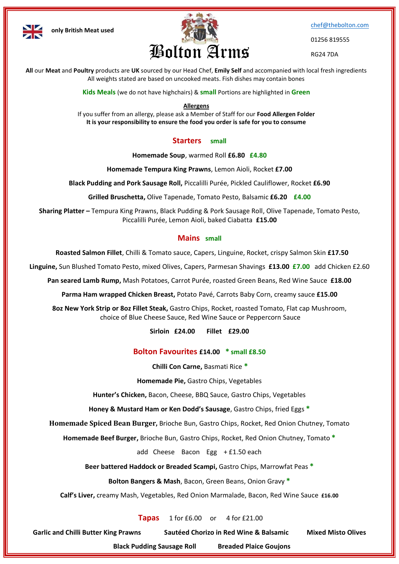



[chef@thebolton.com](mailto:chef@thebolton.com)

01256 819555

RG24 7DA

**All** our **Meat** and **Poultry** products are **UK** sourced by our Head Chef, **Emily Self** and accompanied with local fresh ingredients All weights stated are based on uncooked meats. Fish dishes may contain bones

**Kids Meals** (we do not have highchairs) & **small** Portions are highlighted in **Green**

#### **Allergens**

If you suffer from an allergy, please ask a Member of Staff for our **Food Allergen Folder It is your responsibility to ensure the food you order is safe for you to consume**

## **Starters small**

**Homemade Soup**, warmed Roll **£6.80 £4.80**

**Homemade Tempura King Prawns**, Lemon Aioli, Rocket **£7.00**

**Black Pudding and Pork Sausage Roll,** Piccalilli Purée, Pickled Cauliflower, Rocket **£6.90**

**Grilled Bruschetta,** Olive Tapenade, Tomato Pesto, Balsamic **£6.20 £4.00**

**Sharing Platter –** Tempura King Prawns, Black Pudding & Pork Sausage Roll, Olive Tapenade, Tomato Pesto, Piccalilli Purée, Lemon Aioli, baked Ciabatta **£15.00**

### **Mains small**

**Roasted Salmon Fillet**, Chilli & Tomato sauce, Capers, Linguine, Rocket, crispy Salmon Skin **£17.50**

**Linguine,** Sun Blushed Tomato Pesto, mixed Olives, Capers, Parmesan Shavings **£13.00 £7.00** add Chicken £2.60

**Pan seared Lamb Rump,** Mash Potatoes, Carrot Purée, roasted Green Beans, Red Wine Sauce **£18.00**

**Parma Ham wrapped Chicken Breast,** Potato Pavé, Carrots Baby Corn, creamy sauce **£15.00**

**8oz New York Strip or 8oz Fillet Steak,** Gastro Chips, Rocket, roasted Tomato, Flat cap Mushroom, choice of Blue Cheese Sauce, Red Wine Sauce or Peppercorn Sauce

**Sirloin £24.00 Fillet £29.00** 

### **Bolton Favourites £14.00 \* small £8.50**

**Chilli Con Carne,** Basmati Rice **\***

**Homemade Pie,** Gastro Chips, Vegetables

**Hunter's Chicken,** Bacon, Cheese, BBQ Sauce, Gastro Chips, Vegetables

**Honey & Mustard Ham or Ken Dodd's Sausage**, Gastro Chips, fried Eggs **\***

**Homemade Spiced Bean Burger,** Brioche Bun, Gastro Chips, Rocket, Red Onion Chutney, Tomato

**Homemade Beef Burger,** Brioche Bun, Gastro Chips, Rocket, Red Onion Chutney, Tomato **\***

add Cheese Bacon Egg + £1.50 each

**Beer battered Haddock or Breaded Scampi,** Gastro Chips, Marrowfat Peas **\***

**Bolton Bangers & Mash**, Bacon, Green Beans, Onion Gravy **\***

**Calf's Liver,** creamy Mash, Vegetables, Red Onion Marmalade, Bacon, Red Wine Sauce **£16.00**

**Tapas** 1 for £6.00 or 4 for £21.00

**Garlic and Chilli Butter King Prawns Sautéed Chorizo in Red Wine & Balsamic Mixed Misto Olives** 

 **Black Pudding Sausage Roll Breaded Plaice Goujons**